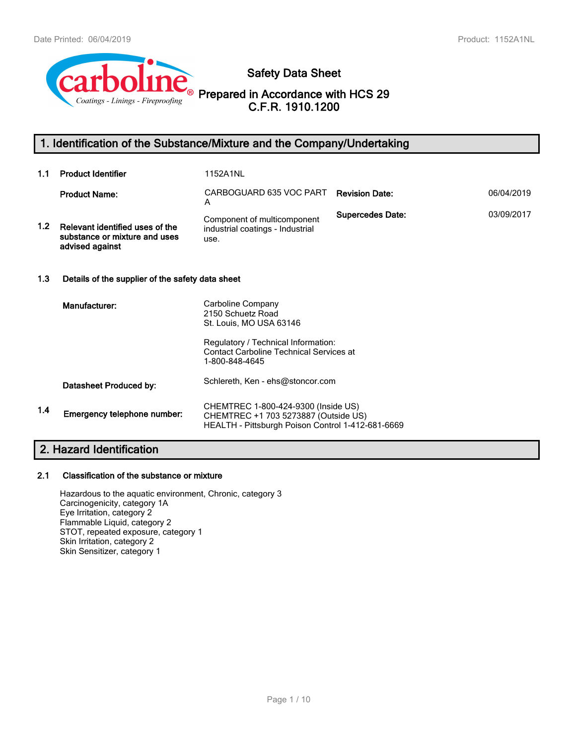

**Safety Data Sheet**

**Prepared in Accordance with HCS 29 C.F.R. 1910.1200**

# **1. Identification of the Substance/Mixture and the Company/Undertaking**

| 1.1              | <b>Product Identifier</b>                                                           | 1152A1NL                                                                                                                         |                         |            |  |  |  |
|------------------|-------------------------------------------------------------------------------------|----------------------------------------------------------------------------------------------------------------------------------|-------------------------|------------|--|--|--|
|                  | <b>Product Name:</b>                                                                | CARBOGUARD 635 VOC PART<br>A                                                                                                     | <b>Revision Date:</b>   | 06/04/2019 |  |  |  |
| 1.2 <sub>1</sub> | Relevant identified uses of the<br>substance or mixture and uses<br>advised against | Component of multicomponent<br>industrial coatings - Industrial<br>use.                                                          | <b>Supercedes Date:</b> | 03/09/2017 |  |  |  |
| 1.3              |                                                                                     | Details of the supplier of the safety data sheet                                                                                 |                         |            |  |  |  |
|                  | Manufacturer:                                                                       | Carboline Company<br>2150 Schuetz Road<br>St. Louis, MO USA 63146                                                                |                         |            |  |  |  |
|                  |                                                                                     | Regulatory / Technical Information:<br><b>Contact Carboline Technical Services at</b><br>1-800-848-4645                          |                         |            |  |  |  |
|                  | Datasheet Produced by:                                                              | Schlereth, Ken - ehs@stoncor.com                                                                                                 |                         |            |  |  |  |
| 1.4              | Emergency telephone number:                                                         | CHEMTREC 1-800-424-9300 (Inside US)<br>CHEMTREC +1 703 5273887 (Outside US)<br>HEALTH - Pittsburgh Poison Control 1-412-681-6669 |                         |            |  |  |  |
|                  |                                                                                     |                                                                                                                                  |                         |            |  |  |  |

# **2. Hazard Identification**

## **2.1 Classification of the substance or mixture**

Hazardous to the aquatic environment, Chronic, category 3 Carcinogenicity, category 1A Eye Irritation, category 2 Flammable Liquid, category 2 STOT, repeated exposure, category 1 Skin Irritation, category 2 Skin Sensitizer, category 1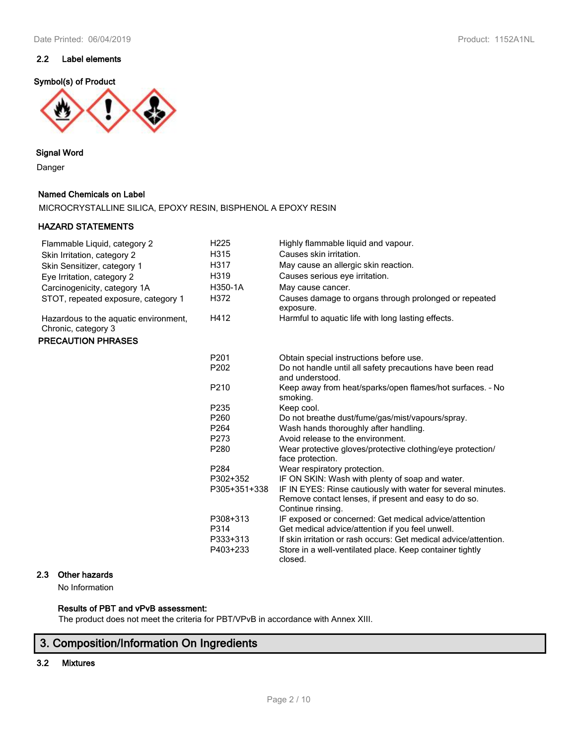## **2.2 Label elements**

## **Symbol(s) of Product**



## **Signal Word**

Danger

## **Named Chemicals on Label**

MICROCRYSTALLINE SILICA, EPOXY RESIN, BISPHENOL A EPOXY RESIN

## **HAZARD STATEMENTS**

| Flammable Liquid, category 2                                 | H <sub>225</sub> | Highly flammable liquid and vapour.                                            |
|--------------------------------------------------------------|------------------|--------------------------------------------------------------------------------|
| Skin Irritation, category 2                                  | H315             | Causes skin irritation.                                                        |
| Skin Sensitizer, category 1                                  | H317             | May cause an allergic skin reaction.                                           |
| Eye Irritation, category 2                                   | H319             | Causes serious eye irritation.                                                 |
| Carcinogenicity, category 1A                                 | H350-1A          | May cause cancer.                                                              |
| STOT, repeated exposure, category 1                          | H372             | Causes damage to organs through prolonged or repeated<br>exposure.             |
| Hazardous to the aquatic environment,<br>Chronic, category 3 | H412             | Harmful to aquatic life with long lasting effects.                             |
| <b>PRECAUTION PHRASES</b>                                    |                  |                                                                                |
|                                                              | P201             | Obtain special instructions before use.                                        |
|                                                              | P202             | Do not handle until all safety precautions have been read<br>and understood.   |
|                                                              | P210             | Keep away from heat/sparks/open flames/hot surfaces. - No<br>smoking.          |
|                                                              | P235             | Keep cool.                                                                     |
|                                                              | P <sub>260</sub> | Do not breathe dust/fume/gas/mist/vapours/spray.                               |
|                                                              | P <sub>264</sub> | Wash hands thoroughly after handling.                                          |
|                                                              | P273             | Avoid release to the environment.                                              |
|                                                              | P280             | Wear protective gloves/protective clothing/eye protection/<br>face protection. |
|                                                              | P284             | Wear respiratory protection.                                                   |
|                                                              | P302+352         | IF ON SKIN: Wash with plenty of soap and water.                                |
|                                                              | P305+351+338     | IF IN EYES: Rinse cautiously with water for several minutes.                   |
|                                                              |                  | Remove contact lenses, if present and easy to do so.<br>Continue rinsing.      |
|                                                              | P308+313         | IF exposed or concerned: Get medical advice/attention                          |
|                                                              | P314             | Get medical advice/attention if you feel unwell.                               |
|                                                              | P333+313         | If skin irritation or rash occurs: Get medical advice/attention.               |
|                                                              | P403+233         | Store in a well-ventilated place. Keep container tightly<br>closed.            |

## **2.3 Other hazards**

No Information

## **Results of PBT and vPvB assessment:**

The product does not meet the criteria for PBT/VPvB in accordance with Annex XIII.

# **3. Composition/Information On Ingredients**

**3.2 Mixtures**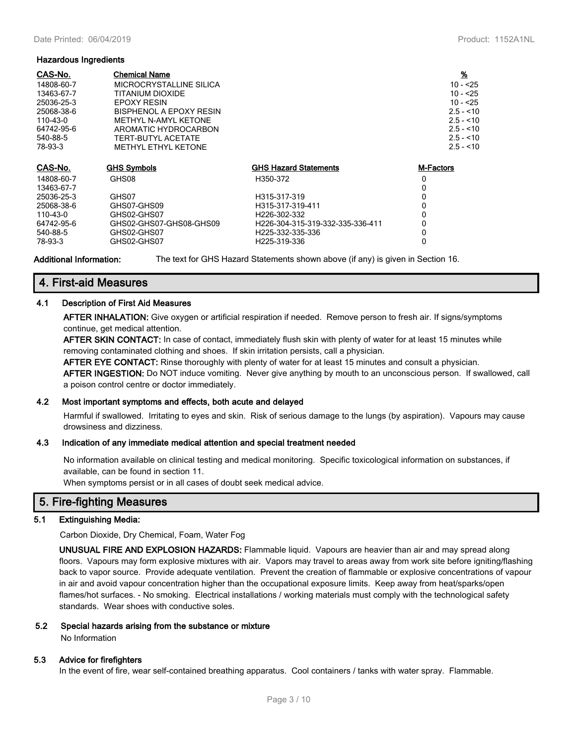#### **Hazardous Ingredients**

| CAS-No.<br>14808-60-7<br>13463-67-7<br>25036-25-3<br>25068-38-6<br>110-43-0<br>64742-95-6<br>540-88-5<br>78-93-3 | <b>Chemical Name</b><br>MICROCRYSTALLINE SILICA<br>TITANIUM DIOXIDE<br>EPOXY RESIN<br>BISPHENOL A EPOXY RESIN<br>METHYL N-AMYL KETONE<br>AROMATIC HYDROCARBON<br>TERT-BUTYL ACETATE<br><b>METHYL ETHYL KETONE</b> |                                  | <u>%</u><br>$10 - 25$<br>$10 - 25$<br>$10 - 25$<br>$2.5 - 10$<br>$2.5 - 10$<br>$2.5 - 10$<br>$2.5 - 10$<br>$2.5 - 10$ |
|------------------------------------------------------------------------------------------------------------------|-------------------------------------------------------------------------------------------------------------------------------------------------------------------------------------------------------------------|----------------------------------|-----------------------------------------------------------------------------------------------------------------------|
| CAS-No.                                                                                                          | <b>GHS Symbols</b>                                                                                                                                                                                                | <b>GHS Hazard Statements</b>     | <b>M-Factors</b>                                                                                                      |
| 14808-60-7                                                                                                       | GHS08                                                                                                                                                                                                             | H350-372                         | 0                                                                                                                     |
| 13463-67-7                                                                                                       |                                                                                                                                                                                                                   |                                  | 0                                                                                                                     |
| 25036-25-3                                                                                                       | GHS07                                                                                                                                                                                                             | H315-317-319                     | 0                                                                                                                     |
| 25068-38-6                                                                                                       | GHS07-GHS09                                                                                                                                                                                                       | H315-317-319-411                 | 0                                                                                                                     |
| 110-43-0                                                                                                         | GHS02-GHS07                                                                                                                                                                                                       | H <sub>226</sub> -302-332        | 0                                                                                                                     |
| 64742-95-6                                                                                                       | GHS02-GHS07-GHS08-GHS09                                                                                                                                                                                           | H226-304-315-319-332-335-336-411 | 0                                                                                                                     |
| 540-88-5                                                                                                         | GHS02-GHS07                                                                                                                                                                                                       | H225-332-335-336                 | 0                                                                                                                     |
| 78-93-3                                                                                                          | GHS02-GHS07                                                                                                                                                                                                       | H225-319-336                     | 0                                                                                                                     |

**Additional Information:** The text for GHS Hazard Statements shown above (if any) is given in Section 16.

## **4. First-aid Measures**

## **4.1 Description of First Aid Measures**

**AFTER INHALATION:** Give oxygen or artificial respiration if needed. Remove person to fresh air. If signs/symptoms continue, get medical attention.

**AFTER SKIN CONTACT:** In case of contact, immediately flush skin with plenty of water for at least 15 minutes while removing contaminated clothing and shoes. If skin irritation persists, call a physician.

**AFTER EYE CONTACT:** Rinse thoroughly with plenty of water for at least 15 minutes and consult a physician. **AFTER INGESTION:** Do NOT induce vomiting. Never give anything by mouth to an unconscious person. If swallowed, call a poison control centre or doctor immediately.

## **4.2 Most important symptoms and effects, both acute and delayed**

Harmful if swallowed. Irritating to eyes and skin. Risk of serious damage to the lungs (by aspiration). Vapours may cause drowsiness and dizziness.

## **4.3 Indication of any immediate medical attention and special treatment needed**

No information available on clinical testing and medical monitoring. Specific toxicological information on substances, if available, can be found in section 11.

When symptoms persist or in all cases of doubt seek medical advice.

## **5. Fire-fighting Measures**

## **5.1 Extinguishing Media:**

Carbon Dioxide, Dry Chemical, Foam, Water Fog

**UNUSUAL FIRE AND EXPLOSION HAZARDS:** Flammable liquid. Vapours are heavier than air and may spread along floors. Vapours may form explosive mixtures with air. Vapors may travel to areas away from work site before igniting/flashing back to vapor source. Provide adequate ventilation. Prevent the creation of flammable or explosive concentrations of vapour in air and avoid vapour concentration higher than the occupational exposure limits. Keep away from heat/sparks/open flames/hot surfaces. - No smoking. Electrical installations / working materials must comply with the technological safety standards. Wear shoes with conductive soles.

## **5.2 Special hazards arising from the substance or mixture**

No Information

## **5.3 Advice for firefighters**

In the event of fire, wear self-contained breathing apparatus. Cool containers / tanks with water spray. Flammable.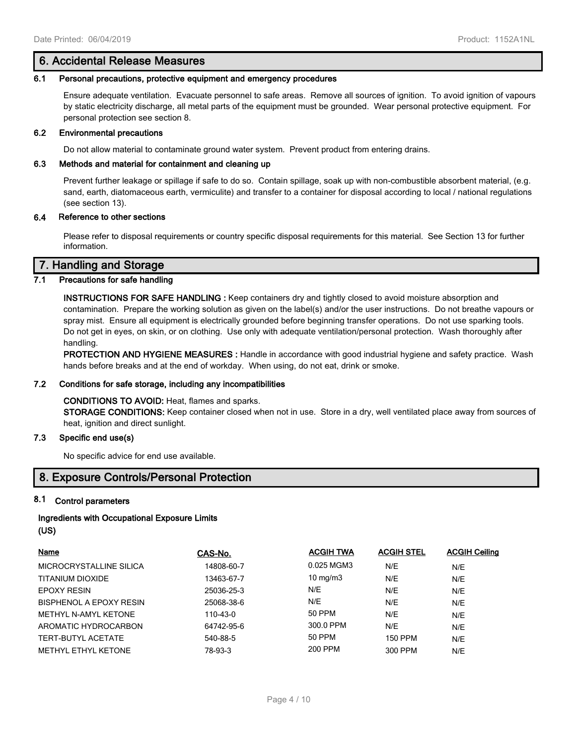## **6. Accidental Release Measures**

### **6.1 Personal precautions, protective equipment and emergency procedures**

Ensure adequate ventilation. Evacuate personnel to safe areas. Remove all sources of ignition. To avoid ignition of vapours by static electricity discharge, all metal parts of the equipment must be grounded. Wear personal protective equipment. For personal protection see section 8.

#### **6.2 Environmental precautions**

Do not allow material to contaminate ground water system. Prevent product from entering drains.

#### **6.3 Methods and material for containment and cleaning up**

Prevent further leakage or spillage if safe to do so. Contain spillage, soak up with non-combustible absorbent material, (e.g. sand, earth, diatomaceous earth, vermiculite) and transfer to a container for disposal according to local / national regulations (see section 13).

## **6.4 Reference to other sections**

Please refer to disposal requirements or country specific disposal requirements for this material. See Section 13 for further information.

## **7. Handling and Storage**

## **7.1 Precautions for safe handling**

**INSTRUCTIONS FOR SAFE HANDLING :** Keep containers dry and tightly closed to avoid moisture absorption and contamination. Prepare the working solution as given on the label(s) and/or the user instructions. Do not breathe vapours or spray mist. Ensure all equipment is electrically grounded before beginning transfer operations. Do not use sparking tools. Do not get in eyes, on skin, or on clothing. Use only with adequate ventilation/personal protection. Wash thoroughly after handling.

**PROTECTION AND HYGIENE MEASURES :** Handle in accordance with good industrial hygiene and safety practice. Wash hands before breaks and at the end of workday. When using, do not eat, drink or smoke.

## **7.2 Conditions for safe storage, including any incompatibilities**

#### **CONDITIONS TO AVOID:** Heat, flames and sparks.

**STORAGE CONDITIONS:** Keep container closed when not in use. Store in a dry, well ventilated place away from sources of heat, ignition and direct sunlight.

## **7.3 Specific end use(s)**

No specific advice for end use available.

## **8. Exposure Controls/Personal Protection**

## **8.1 Control parameters**

## **Ingredients with Occupational Exposure Limits (US)**

| Name                        | CAS-No.    | <b>ACGIH TWA</b>  | <b>ACGIH STEL</b> | <b>ACGIH Ceiling</b> |
|-----------------------------|------------|-------------------|-------------------|----------------------|
| MICROCRYSTALLINE SILICA     | 14808-60-7 | 0.025 MGM3        | N/E               | N/E                  |
| TITANIUM DIOXIDE            | 13463-67-7 | $10 \text{ mg/m}$ | N/E               | N/E                  |
| <b>EPOXY RESIN</b>          | 25036-25-3 | N/E               | N/E               | N/E                  |
| BISPHENOL A EPOXY RESIN     | 25068-38-6 | N/E               | N/E               | N/E                  |
| <b>METHYL N-AMYL KETONE</b> | 110-43-0   | 50 PPM            | N/E               | N/E                  |
| AROMATIC HYDROCARBON        | 64742-95-6 | 300.0 PPM         | N/E               | N/E                  |
| TERT-BUTYL ACETATE          | 540-88-5   | 50 PPM            | <b>150 PPM</b>    | N/E                  |
| METHYL ETHYL KETONE         | 78-93-3    | 200 PPM           | 300 PPM           | N/E                  |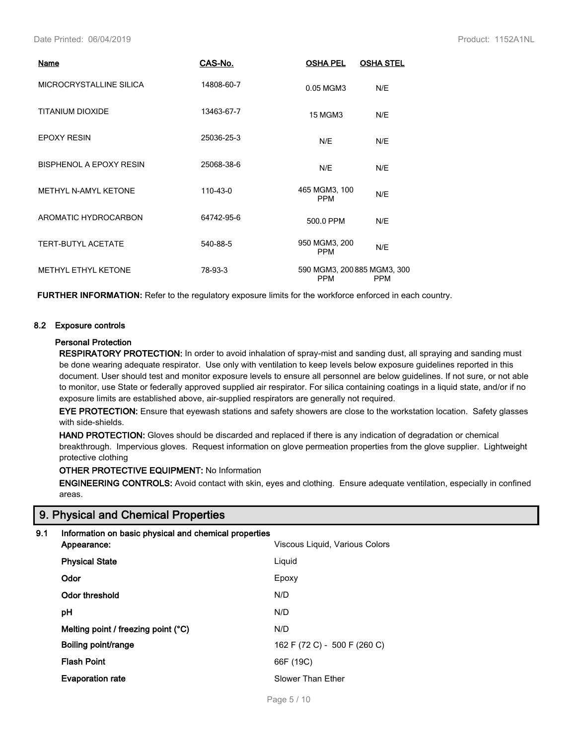Date Printed: 06/04/2019 Product: 1152A1NL

| Name                           | CAS-No.    | <b>OSHA PEL</b>                           | <b>OSHA STEL</b> |
|--------------------------------|------------|-------------------------------------------|------------------|
| MICROCRYSTALLINE SILICA        | 14808-60-7 | 0.05 MGM3                                 | N/E              |
| TITANIUM DIOXIDE               | 13463-67-7 | 15 MGM3                                   | N/E              |
| <b>EPOXY RESIN</b>             | 25036-25-3 | N/E                                       | N/E              |
| <b>BISPHENOL A EPOXY RESIN</b> | 25068-38-6 | N/E                                       | N/E              |
| METHYL N-AMYL KETONE           | 110-43-0   | 465 MGM3, 100<br><b>PPM</b>               | N/E              |
| AROMATIC HYDROCARBON           | 64742-95-6 | 500.0 PPM                                 | N/E              |
| <b>TERT-BUTYL ACETATE</b>      | 540-88-5   | 950 MGM3, 200<br><b>PPM</b>               | N/E              |
| METHYL ETHYL KETONE            | 78-93-3    | 590 MGM3, 200 885 MGM3, 300<br><b>PPM</b> | <b>PPM</b>       |

**FURTHER INFORMATION:** Refer to the regulatory exposure limits for the workforce enforced in each country.

## **8.2 Exposure controls**

#### **Personal Protection**

**RESPIRATORY PROTECTION:** In order to avoid inhalation of spray-mist and sanding dust, all spraying and sanding must be done wearing adequate respirator. Use only with ventilation to keep levels below exposure guidelines reported in this document. User should test and monitor exposure levels to ensure all personnel are below guidelines. If not sure, or not able to monitor, use State or federally approved supplied air respirator. For silica containing coatings in a liquid state, and/or if no exposure limits are established above, air-supplied respirators are generally not required.

**EYE PROTECTION:** Ensure that eyewash stations and safety showers are close to the workstation location. Safety glasses with side-shields.

**HAND PROTECTION:** Gloves should be discarded and replaced if there is any indication of degradation or chemical breakthrough. Impervious gloves. Request information on glove permeation properties from the glove supplier. Lightweight protective clothing

**OTHER PROTECTIVE EQUIPMENT:** No Information

**ENGINEERING CONTROLS:** Avoid contact with skin, eyes and clothing. Ensure adequate ventilation, especially in confined areas.

## **9. Physical and Chemical Properties**

## **9.1 Information on basic physical and chemical properties**

| Appearance:                         | Viscous Liquid, Various Colors |
|-------------------------------------|--------------------------------|
| <b>Physical State</b>               | Liquid                         |
| Odor                                | Epoxy                          |
| Odor threshold                      | N/D                            |
| рH                                  | N/D                            |
| Melting point / freezing point (°C) | N/D                            |
| Boiling point/range                 | 162 F (72 C) - 500 F (260 C)   |
| <b>Flash Point</b>                  | 66F (19C)                      |
| <b>Evaporation rate</b>             | Slower Than Ether              |
|                                     |                                |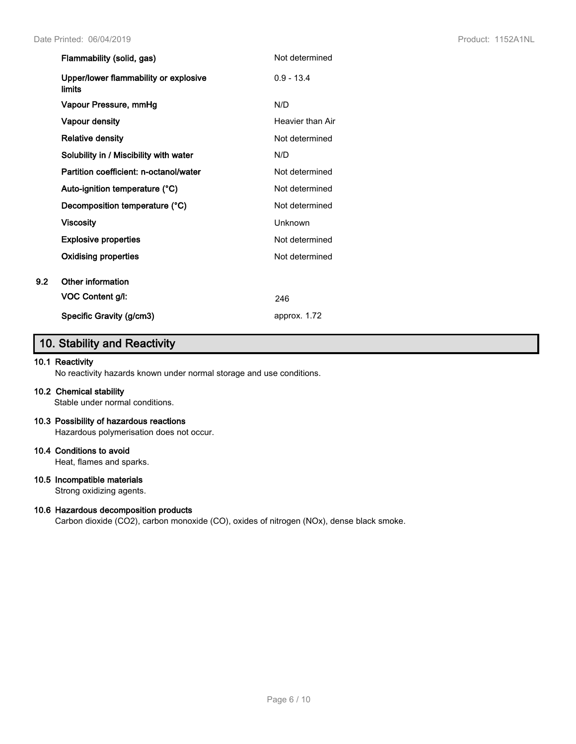|     | Flammability (solid, gas)                              | Not determined   |
|-----|--------------------------------------------------------|------------------|
|     | Upper/lower flammability or explosive<br><b>limits</b> | $0.9 - 13.4$     |
|     | Vapour Pressure, mmHg                                  | N/D              |
|     | Vapour density                                         | Heavier than Air |
|     | <b>Relative density</b>                                | Not determined   |
|     | Solubility in / Miscibility with water                 | N/D              |
|     | Partition coefficient: n-octanol/water                 | Not determined   |
|     | Auto-ignition temperature (°C)                         | Not determined   |
|     | Decomposition temperature (°C)                         | Not determined   |
|     | <b>Viscosity</b>                                       | Unknown          |
|     | <b>Explosive properties</b>                            | Not determined   |
|     | <b>Oxidising properties</b>                            | Not determined   |
| 9.2 | Other information                                      |                  |
|     | VOC Content g/l:                                       | 246              |
|     | Specific Gravity (g/cm3)                               | approx. 1.72     |

# **10. Stability and Reactivity**

## **10.1 Reactivity**

No reactivity hazards known under normal storage and use conditions.

## **10.2 Chemical stability**

Stable under normal conditions.

## **10.3 Possibility of hazardous reactions**

Hazardous polymerisation does not occur.

## **10.4 Conditions to avoid**

Heat, flames and sparks.

## **10.5 Incompatible materials**

Strong oxidizing agents.

## **10.6 Hazardous decomposition products**

Carbon dioxide (CO2), carbon monoxide (CO), oxides of nitrogen (NOx), dense black smoke.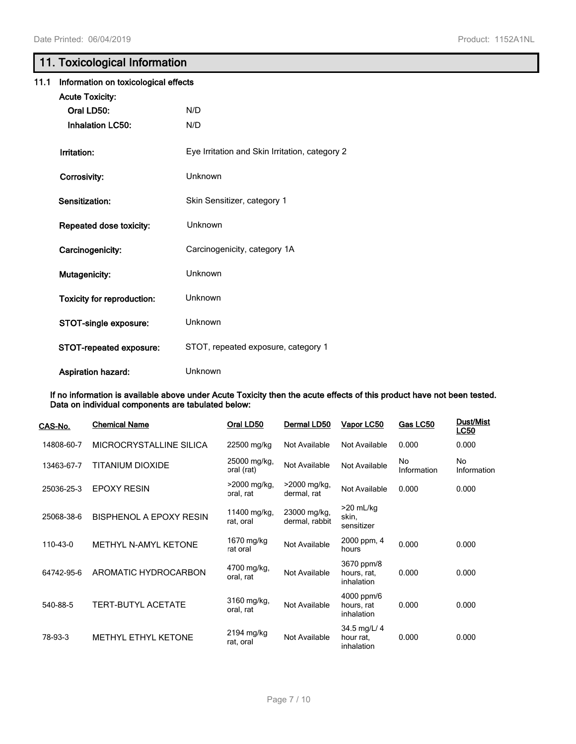# **11. Toxicological Information**

| 11.1 | Information on toxicological effects |                                                |  |  |  |
|------|--------------------------------------|------------------------------------------------|--|--|--|
|      | <b>Acute Toxicity:</b>               |                                                |  |  |  |
|      | Oral LD50:                           | N/D                                            |  |  |  |
|      | <b>Inhalation LC50:</b>              | N/D                                            |  |  |  |
|      | Irritation:                          | Eye Irritation and Skin Irritation, category 2 |  |  |  |
|      | Corrosivity:                         | Unknown                                        |  |  |  |
|      | Sensitization:                       | Skin Sensitizer, category 1                    |  |  |  |
|      | Repeated dose toxicity:              | Unknown                                        |  |  |  |
|      | Carcinogenicity:                     | Carcinogenicity, category 1A                   |  |  |  |
|      | Mutagenicity:                        | Unknown                                        |  |  |  |
|      | <b>Toxicity for reproduction:</b>    | Unknown                                        |  |  |  |
|      | STOT-single exposure:                | <b>Unknown</b>                                 |  |  |  |
|      | STOT-repeated exposure:              | STOT, repeated exposure, category 1            |  |  |  |
|      | <b>Aspiration hazard:</b>            | Unknown                                        |  |  |  |

**If no information is available above under Acute Toxicity then the acute effects of this product have not been tested. Data on individual components are tabulated below:**

| CAS-No.    | <b>Chemical Name</b>       | Oral LD50                   | Dermal LD50                    | Vapor LC50                              | Gas LC50          | Dust/Mist<br>LC50 |
|------------|----------------------------|-----------------------------|--------------------------------|-----------------------------------------|-------------------|-------------------|
| 14808-60-7 | MICROCRYSTALLINE SILICA    | 22500 mg/kg                 | Not Available                  | Not Available                           | 0.000             | 0.000             |
| 13463-67-7 | TITANIUM DIOXIDE           | 25000 mg/kg,<br>oral (rat)  | Not Available                  | Not Available                           | No<br>Information | No<br>Information |
| 25036-25-3 | <b>EPOXY RESIN</b>         | $>2000$ mg/kg,<br>oral, rat | $>2000$ mg/kg,<br>dermal, rat  | Not Available                           | 0.000             | 0.000             |
| 25068-38-6 | BISPHENOL A EPOXY RESIN    | 11400 mg/kg,<br>rat, oral   | 23000 mg/kg,<br>dermal, rabbit | $>20$ mL/kg<br>skin,<br>sensitizer      |                   |                   |
| 110-43-0   | METHYL N-AMYL KETONE       | 1670 mg/kg<br>rat oral      | Not Available                  | 2000 ppm, 4<br>hours                    | 0.000             | 0.000             |
| 64742-95-6 | AROMATIC HYDROCARBON       | 4700 mg/kg,<br>oral, rat    | Not Available                  | 3670 ppm/8<br>hours, rat,<br>inhalation | 0.000             | 0.000             |
| 540-88-5   | <b>TERT-BUTYL ACETATE</b>  | 3160 mg/kg,<br>oral, rat    | Not Available                  | 4000 ppm/6<br>hours, rat<br>inhalation  | 0.000             | 0.000             |
| 78-93-3    | <b>METHYL ETHYL KETONE</b> | 2194 mg/kg<br>rat, oral     | Not Available                  | 34.5 mg/L/ 4<br>hour rat.<br>inhalation | 0.000             | 0.000             |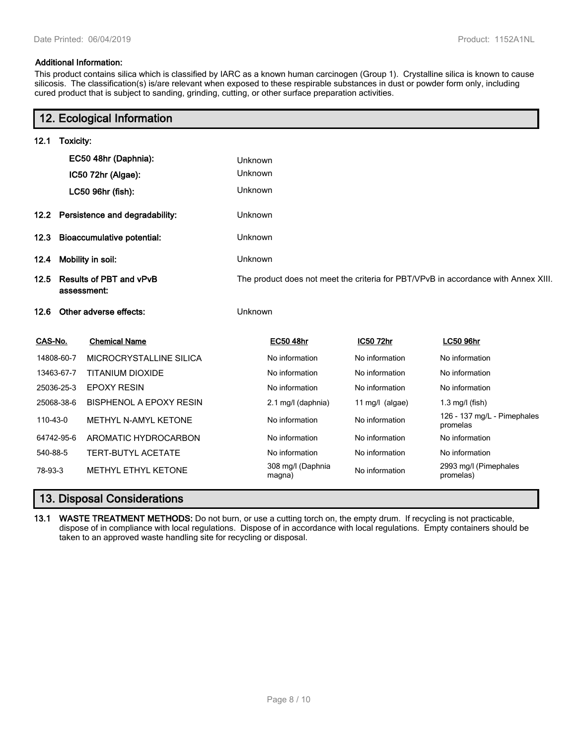### **Additional Information:**

This product contains silica which is classified by IARC as a known human carcinogen (Group 1). Crystalline silica is known to cause silicosis. The classification(s) is/are relevant when exposed to these respirable substances in dust or powder form only, including cured product that is subject to sanding, grinding, cutting, or other surface preparation activities.

|          |                                               | 12. Ecological Information          |                |                                                                                    |                 |                                         |  |  |
|----------|-----------------------------------------------|-------------------------------------|----------------|------------------------------------------------------------------------------------|-----------------|-----------------------------------------|--|--|
| 12.1     | Toxicity:                                     |                                     |                |                                                                                    |                 |                                         |  |  |
|          |                                               | EC50 48hr (Daphnia):                | Unknown        |                                                                                    |                 |                                         |  |  |
|          |                                               | IC50 72hr (Algae):                  | Unknown        |                                                                                    |                 |                                         |  |  |
|          |                                               | LC50 96hr (fish):                   | Unknown        |                                                                                    |                 |                                         |  |  |
|          |                                               | 12.2 Persistence and degradability: | <b>Unknown</b> |                                                                                    |                 |                                         |  |  |
| 12.3     |                                               | <b>Bioaccumulative potential:</b>   | Unknown        |                                                                                    |                 |                                         |  |  |
| 12.4     |                                               | Mobility in soil:                   | Unknown        |                                                                                    |                 |                                         |  |  |
| 12.5     | <b>Results of PBT and vPvB</b><br>assessment: |                                     |                | The product does not meet the criteria for PBT/VPvB in accordance with Annex XIII. |                 |                                         |  |  |
| 12.6     |                                               | Other adverse effects:              | Unknown        |                                                                                    |                 |                                         |  |  |
| CAS-No.  |                                               | <b>Chemical Name</b>                |                | <b>EC50 48hr</b>                                                                   | IC50 72hr       | <b>LC50 96hr</b>                        |  |  |
|          | 14808-60-7                                    | MICROCRYSTALLINE SILICA             |                | No information                                                                     | No information  | No information                          |  |  |
|          | 13463-67-7                                    | <b>TITANIUM DIOXIDE</b>             |                | No information                                                                     | No information  | No information                          |  |  |
|          | 25036-25-3                                    | <b>EPOXY RESIN</b>                  |                | No information                                                                     | No information  | No information                          |  |  |
|          | 25068-38-6                                    | <b>BISPHENOL A EPOXY RESIN</b>      |                | 2.1 mg/l (daphnia)                                                                 | 11 mg/l (algae) | $1.3$ mg/l (fish)                       |  |  |
| 110-43-0 |                                               | <b>METHYL N-AMYL KETONE</b>         |                | No information                                                                     | No information  | 126 - 137 mg/L - Pimephales<br>promelas |  |  |
|          | 64742-95-6                                    | AROMATIC HYDROCARBON                |                | No information                                                                     | No information  | No information                          |  |  |
| 540-88-5 |                                               | <b>TERT-BUTYL ACETATE</b>           |                | No information                                                                     | No information  | No information                          |  |  |
| 78-93-3  |                                               | <b>METHYL ETHYL KETONE</b>          |                | 308 mg/l (Daphnia<br>magna)                                                        | No information  | 2993 mg/l (Pimephales<br>promelas)      |  |  |

## **13. Disposal Considerations**

**13.1 WASTE TREATMENT METHODS:** Do not burn, or use a cutting torch on, the empty drum. If recycling is not practicable, dispose of in compliance with local regulations. Dispose of in accordance with local regulations. Empty containers should be taken to an approved waste handling site for recycling or disposal.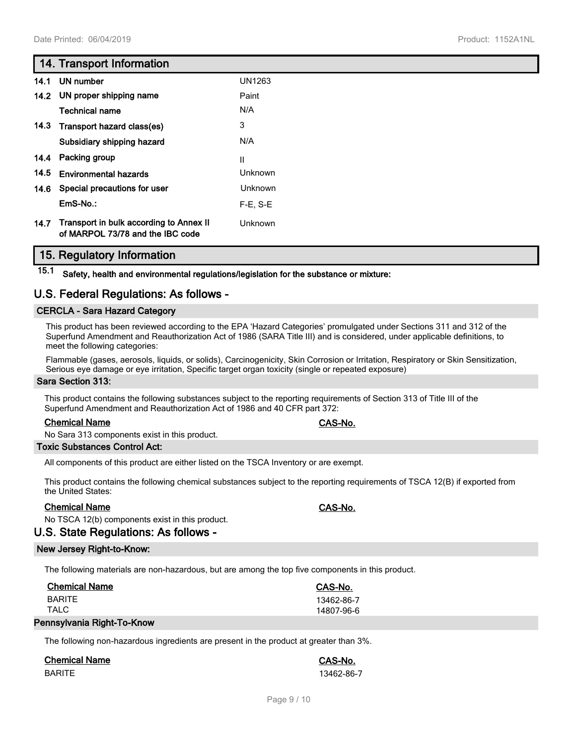## **14. Transport Information**

| 14.1 | UN number                                                                   | UN1263      |
|------|-----------------------------------------------------------------------------|-------------|
| 14.2 | UN proper shipping name                                                     | Paint       |
|      | <b>Technical name</b>                                                       | N/A         |
| 14.3 | Transport hazard class(es)                                                  | 3           |
|      | Subsidiary shipping hazard                                                  | N/A         |
| 14.4 | Packing group                                                               | Ш           |
| 14.5 | <b>Environmental hazards</b>                                                | Unknown     |
| 14.6 | Special precautions for user                                                | Unknown     |
|      | EmS-No.:                                                                    | $F-E$ , S-E |
| 14.7 | Transport in bulk according to Annex II<br>of MARPOL 73/78 and the IBC code | Unknown     |

## **15. Regulatory Information**

**15.1 Safety, health and environmental regulations/legislation for the substance or mixture:**

## **U.S. Federal Regulations: As follows -**

## **CERCLA - Sara Hazard Category**

This product has been reviewed according to the EPA 'Hazard Categories' promulgated under Sections 311 and 312 of the Superfund Amendment and Reauthorization Act of 1986 (SARA Title III) and is considered, under applicable definitions, to meet the following categories:

Flammable (gases, aerosols, liquids, or solids), Carcinogenicity, Skin Corrosion or Irritation, Respiratory or Skin Sensitization, Serious eye damage or eye irritation, Specific target organ toxicity (single or repeated exposure)

#### **Sara Section 313:**

This product contains the following substances subject to the reporting requirements of Section 313 of Title III of the Superfund Amendment and Reauthorization Act of 1986 and 40 CFR part 372:

## **Chemical Name CAS-No.**

No Sara 313 components exist in this product.

## **Toxic Substances Control Act:**

All components of this product are either listed on the TSCA Inventory or are exempt.

This product contains the following chemical substances subject to the reporting requirements of TSCA 12(B) if exported from the United States:

## **Chemical Name CAS-No.**

No TSCA 12(b) components exist in this product.

## **U.S. State Regulations: As follows -**

## **New Jersey Right-to-Know:**

The following materials are non-hazardous, but are among the top five components in this product.

| <b>Chemical Name</b> | CAS-No.    |
|----------------------|------------|
| <b>BARITE</b>        | 13462-86-7 |
| TALC                 | 14807-96-6 |

## **Pennsylvania Right-To-Know**

The following non-hazardous ingredients are present in the product at greater than 3%.

## **Chemical Name CAS-No.**